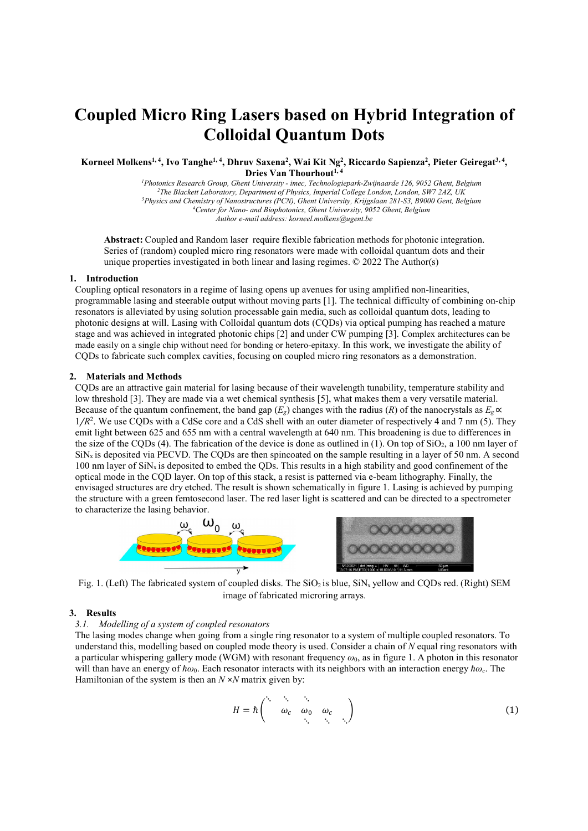# Coupled Micro Ring Lasers based on Hybrid Integration of Colloidal Quantum Dots

Korneel Molkens<sup>1, 4</sup>, Ivo Tanghe<sup>1, 4</sup>, Dhruv Saxena<sup>2</sup>, Wai Kit Ng<sup>2</sup>, Riccardo Sapienza<sup>2</sup>, Pieter Geiregat<sup>3, 4</sup>,<br>Dries Van Thourhout<sup>1, 4</sup>

<sup>1</sup>Photonics Research Group, Ghent University - imec, Technologiepark-Zwijnaarde 126, 9052 Ghent, Belgium<br><sup>2</sup>The Blackett Laboratory, Department of Physics, Imperial College London, London, SW7 2AZ, UK<sup>3</sup>Physics and Chemi Author e-mail address: korneel.molkens@ugent.be

Abstract: Coupled and Random laser require flexible fabrication methods for photonic integration. Series of (random) coupled micro ring resonators were made with colloidal quantum dots and their unique properties investigated in both linear and lasing regimes. © 2022 The Author(s)

## 1. Introduction

Coupling optical resonators in a regime of lasing opens up avenues for using amplified non-linearities, programmable lasing and steerable output without moving parts [1]. The technical difficulty of combining on-chip resonators is alleviated by using solution processable gain media, such as colloidal quantum dots, leading to photonic designs at will. Lasing with Colloidal quantum dots (CQDs) via optical pumping has reached a mature stage and was achieved in integrated photonic chips [2] and under CW pumping [3]. Complex architectures can be made easily on a single chip without need for bonding or hetero-epitaxy. In this work, we investigate the ability of CQDs to fabricate such complex cavities, focusing on coupled micro ring resonators as a demonstration.

### 2. Materials and Methods

CQDs are an attractive gain material for lasing because of their wavelength tunability, temperature stability and low threshold [3]. They are made via a wet chemical synthesis [5], what makes them a very versatile material. Because of the quantum confinement, the band gap ( $E_g$ ) changes with the radius (R) of the nanocrystals as  $E_g \propto$  $1/R^2$ . We use CQDs with a CdSe core and a CdS shell with an outer diameter of respectively 4 and 7 nm (5). They emit light between 625 and 655 nm with a central wavelength at 640 nm. This broadening is due to differences in the size of the CQDs (4). The fabrication of the device is done as outlined in (1). On top of  $SiO<sub>2</sub>$ , a 100 nm layer of  $\text{SiN}_x$  is deposited via PECVD. The CQDs are then spincoated on the sample resulting in a layer of 50 nm. A second 100 nm layer of  $\text{SiN}_x$  is deposited to embed the QDs. This results in a high stability and good confinement of the optical mode in the CQD layer. On top of this stack, a resist is patterned via e-beam lithography. Finally, the envisaged structures are dry etched. The result is shown schematically in figure 1. Lasing is achieved by pumping the structure with a green femtosecond laser. The red laser light is scattered and can be directed to a spectrometer to characterize the lasing behavior. are then spinoated on the sample resulting in a layer of 50 nm. A second<br>ed the ODs. This results in a high stability and good confinement of the<br>f this stack, a resist is patterned via e-beam lithography. Finally, the<br>re





Fig. 1. (Left) The fabricated system of coupled disks. The  $SiO<sub>2</sub>$  is blue,  $SiN<sub>x</sub>$  yellow and CQDs red. (Right) SEM image of fabricated microring arrays.

## 3. Results

# 3.1. Modelling of a system of coupled resonators

The lasing modes change when going from a single ring resonator to a system of multiple coupled resonators. To understand this, modelling based on coupled mode theory is used. Consider a chain of  $N$  equal ring resonators with a particular whispering gallery mode (WGM) with resonant frequency  $\omega_0$ , as in figure 1. A photon in this resonator will than have an energy of  $\hbar \omega_0$ . Each resonator interacts with its neighbors with an interaction energy  $\hbar \omega_c$ . The Hamiltonian of the system is then an  $N \times N$  matrix given by: Example the statement value of the state and into a selective due to a propriate the shock of the state of the state of the state of the state of the state of the state of the state of the state of the state of the state

$$
H = \hbar \begin{pmatrix} \ddots & \ddots & \ddots & \ddots \\ \omega_c & \omega_0 & \omega_c & \ddots & \ddots \\ \ddots & \ddots & \ddots & \ddots \end{pmatrix}
$$
 (1)